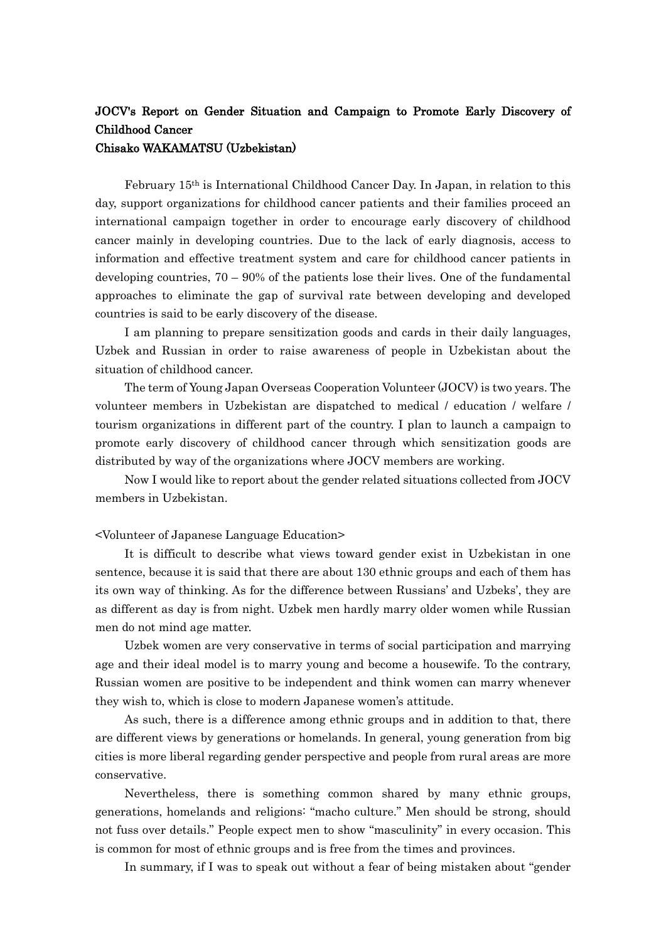# JOCV's Report on Gender Situation and Campaign to Promote Early Discovery of Childhood Cancer

## Chisako WAKAMATSU (Uzbekistan)

February 15th is International Childhood Cancer Day. In Japan, in relation to this day, support organizations for childhood cancer patients and their families proceed an international campaign together in order to encourage early discovery of childhood cancer mainly in developing countries. Due to the lack of early diagnosis, access to information and effective treatment system and care for childhood cancer patients in developing countries,  $70 - 90\%$  of the patients lose their lives. One of the fundamental approaches to eliminate the gap of survival rate between developing and developed countries is said to be early discovery of the disease.

I am planning to prepare sensitization goods and cards in their daily languages, Uzbek and Russian in order to raise awareness of people in Uzbekistan about the situation of childhood cancer.

The term of Young Japan Overseas Cooperation Volunteer (JOCV) is two years. The volunteer members in Uzbekistan are dispatched to medical / education / welfare / tourism organizations in different part of the country. I plan to launch a campaign to promote early discovery of childhood cancer through which sensitization goods are distributed by way of the organizations where JOCV members are working.

Now I would like to report about the gender related situations collected from JOCV members in Uzbekistan.

#### <Volunteer of Japanese Language Education>

It is difficult to describe what views toward gender exist in Uzbekistan in one sentence, because it is said that there are about 130 ethnic groups and each of them has its own way of thinking. As for the difference between Russians' and Uzbeks', they are as different as day is from night. Uzbek men hardly marry older women while Russian men do not mind age matter.

Uzbek women are very conservative in terms of social participation and marrying age and their ideal model is to marry young and become a housewife. To the contrary, Russian women are positive to be independent and think women can marry whenever they wish to, which is close to modern Japanese women's attitude.

As such, there is a difference among ethnic groups and in addition to that, there are different views by generations or homelands. In general, young generation from big cities is more liberal regarding gender perspective and people from rural areas are more conservative.

Nevertheless, there is something common shared by many ethnic groups, generations, homelands and religions: "macho culture." Men should be strong, should not fuss over details." People expect men to show "masculinity" in every occasion. This is common for most of ethnic groups and is free from the times and provinces.

In summary, if I was to speak out without a fear of being mistaken about "gender